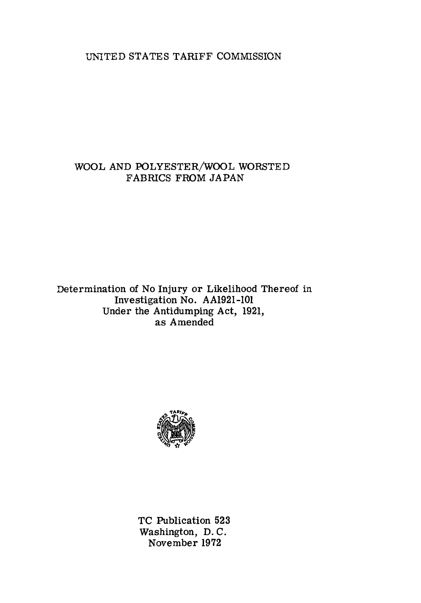UN1TED STATES TARIFF COMMISSION

### WOOL AND POLYESTER/WOOL WORSTED FABRICS FROM JAPAN

Determination of No Injury or Likelihood Thereof in Investigation No. AA1921-101 Under the Antidumping Act, 1921, as Amended



TC Publication 523 Washington, D. C. November 1972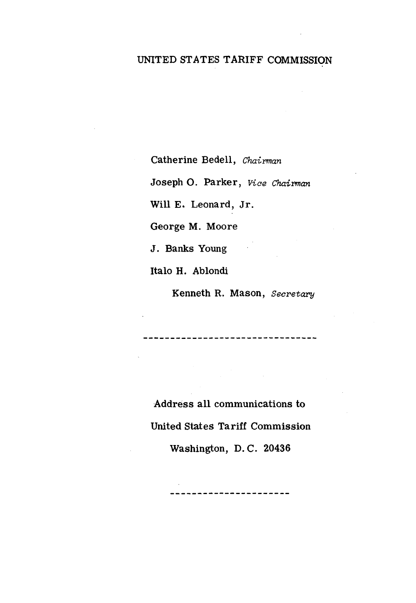### UNITED ST ATES TARIFF COMMISSION

Catherine Bedell, *Chairman* 

Joseph 0. Parker, *Vice Chairman* 

Will E. Leonard, Jr.

George M. Moore

J. Banks Young

Italo H. Ablondi

Kenneth R. Mason, *Secretary* 

----------------------------

Address all communications to United States Tariff Commission Washington, D. C. 20436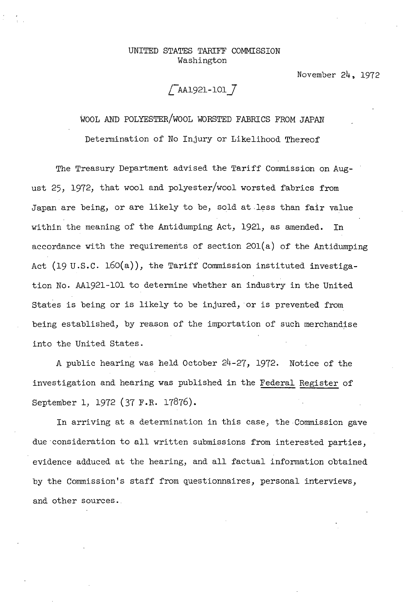#### UNITED STATES TARIFF COMMISSION Washington

November 24, 1972

# / AA1921-101 7

WOOL AND POLYESTER/WOOL WORSTED FABRICS FROM JAPAN

Determination of No Injury or Likelihood Thereof

The Treasury Department advised the Tariff Commission on August 25, 1972, that wool and polyester/wool worsted fabrics from Japan are being, or are likely to be, sold at less than fair value within the meaning of the Antidumping Act, 1921, as amended. In accordance with the requirements of section  $201(a)$  of the Antidumping Act (19 u.s.c. 160(a)), the Tariff Commission instituted investigation No. AA1921-101 to determine whether an industry in the United States is being or is likely to be injured, or is prevented from being established, by reason of the importation of such merchandise into the United States.

A public hearing was held October 24-27, 1972. Notice of the investigation and hearing was published in the Federal Register of September 1, 1972 (37 F.R. 17876).

In arriving at a determination in this case, the Commission gave due consideration to all written submissions from interested parties, evidence adduced at the hearing, and all factual information obtained by the Commission's staff from questionnaires, personal interviews, and other sources.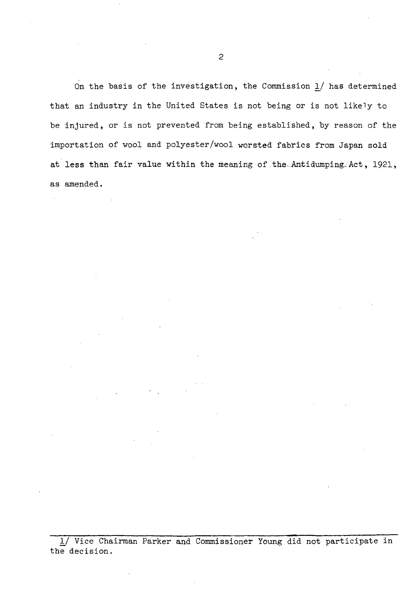On the basis of the investigation, the Commission *1J* has determined that an industry in the United States is not being or is not likely to be injured, or is not prevented from being established, by reason of the importation of wool and polyester/wool worsted fabrics from Japan sold at less than fair value within the meaning of the Antidumping Act, 1921, as amended.

*1)* Vice Chairman Parker and Commissioner Young did not participate in the decision.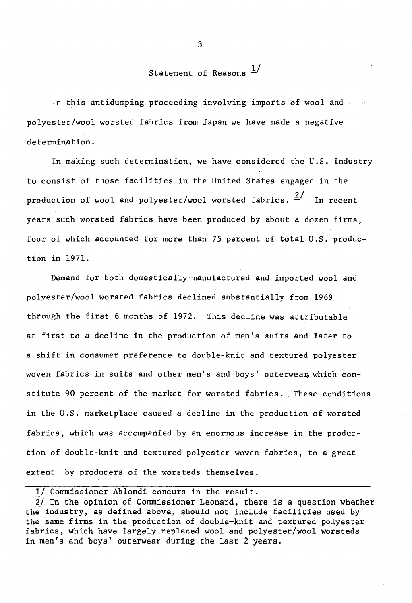## Statement of Reasons  $1/$

In this antidumping proceeding involving imports of wool and polyester/wool worsted fabrics from Japan we have made a negative determination.

In making such determination, we have considered the U.S. industry to consist of those facilities in the United States engaged in the production of wool and polyester/wool worsted fabrics.  $\frac{2}{1}$  In recent years such worsted fabrics have been produced by about a dozen firms, four of which accounted for more than 75 percent of total U.S. production in 1971.

Demand for both domestically·manufactured and imported wool and polyester/wool worsted fabrics declined substantially from 1969 through the first 6 months of 1972. This decline was attributable at first to a decline in the production of men's suits and later to a shift in consumer preference to double-knit and textured polyester woven fabrics in suits and other men's and boys' outerwear, which constitute 90 percent of the market for worsted fabrics. These conditions in the U.S. marketplace caused a decline in the production of worsted fabrics, which was accompanied by an enormous increase in the production of double-knit and textured polyester woven fabrics, to a great extent by producers of the worsteds themselves.

3

ll Commissioner Ablondi concurs in the result.

<sup>2/</sup> In the opinion of Commissioner Leonard, there is a question whether the industry, as defined above, should not include facilities used by the same firms in the production of double-knit and textured polyester fabrics, which have largely replaced wool and polyester/wool worsteds in men's and boys' outerwear during the last 2 years.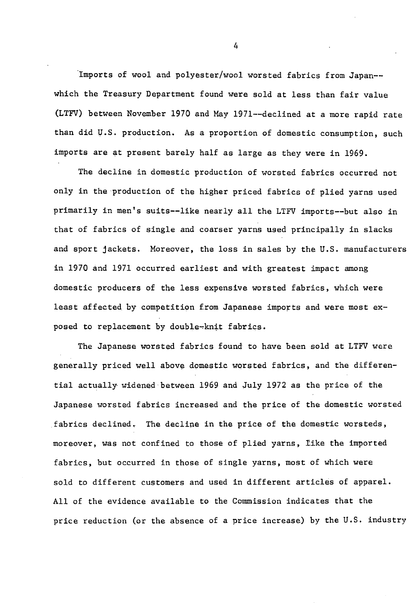Imports of wool and polyester/wool worsted fabrics from Japan- which the Treasury Department found were sold at less than fair value (LTFV) between November 1970 and May 1971--declined at a more rapid rate than did U.S. production. As a proportion of domestic consumption, such imports are at present barely half as large as they were in 1969.

The decline in domestic production of worsted fabrics occurred not only in the·production of the higher priced fabrics of plied yarns used primarily in men's suits--like nearly all the LTFV imports--but also in that of fabrics of single and coarser yarns used principally in slacks and sport jackets. Moreover, the loss in sales by the U.S. manufacturers in 1970 and 1971 occurred earliest and with greatest impact among domestic producers of the less expensive worsted fabrics, which were least affected by competition from Japanese imports and were most exposed to replacement by double-knit fabrics.

The Japanese worsted fabrics found to have been sold at LTFV were generally priced well above domestic worsted fabrics, and the differential actually widened between 1969 and July 1972 as the price of the Japanese worsted fabrics increased and the price of the domestic worsted fabrics declined. The decline in the price of the domestic worsteds, moreover, was not confined to those of plied yarns, like the imported fabrics, but occurred in those of single yarns, most of which were sold to different customers and used in different articles of apparel. All of the evidence available to the Commission indicates that the price reduction (or the absence of a price increase) by the U.S. industry

4